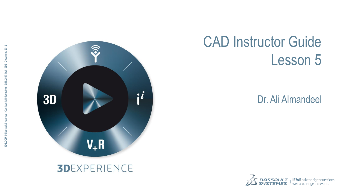

## CAD Instructor Guide Lesson 5

#### Dr. Ali Almandeel

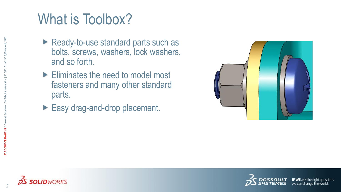## What is Toolbox?

- ▶ Ready-to-use standard parts such as bolts, screws, washers, lock washers, and so forth.
- Eliminates the need to model most fasteners and many other standard parts.
- Easy drag-and-drop placement.





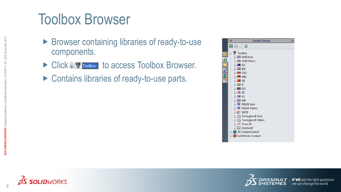### Toolbox Browser

- **Browser containing libraries of ready-to-use** components.
- ▶ Click + Troolbox to access Toolbox Browser.
- ▶ Contains libraries of ready-to-use parts.







 $\frac{1}{2}$  **IF WE** ask the right quest t questions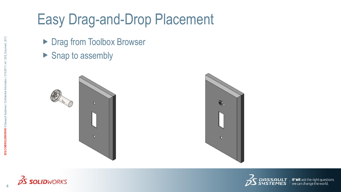# Easy Drag-and-Drop Placement

- ▶ Drag from Toolbox Browser
- $\blacktriangleright$  Snap to assembly







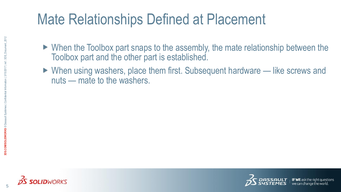# Mate Relationships Defined at Placement

- When the Toolbox part snaps to the assembly, the mate relationship between the Toolbox part and the other part is established.
- ▶ When using washers, place them first. Subsequent hardware like screws and nuts — mate to the washers.



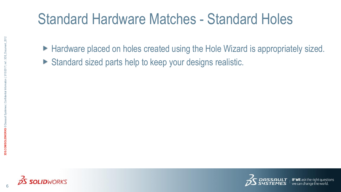### Standard Hardware Matches - Standard Holes

- ► Hardware placed on holes created using the Hole Wizard is appropriately sized.
- Standard sized parts help to keep your designs realistic.



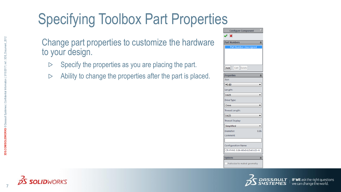# Specifying Toolbox Part Properties

Change part properties to customize the hardware to your design.

- Specify the properties as you are placing the part.  $\triangleright$
- Ability to change the properties after the part is placed. $\triangleright$

| <b>Configure Component</b>    |
|-------------------------------|
| ×                             |
| Part Numbers<br>☆             |
| <b>Part Number Unassigned</b> |
| Add<br>Edit  <br>Delete       |
| <b>Properties</b><br>☆        |
| Size:                         |
| #0-80                         |
| Length:                       |
| 0.625                         |
| <b>Drive Type:</b>            |
| Cross                         |
| Thread Length:                |
| 0.625                         |
| <b>Thread Display:</b>        |
| Simplified                    |
| 0.06<br><b>Diameter:</b>      |
| Comment:                      |
|                               |
| <b>Configuration Name:</b>    |
| CR-FHM1 0.06-80x0.625x0.625-N |
|                               |
| ⋩<br><b>Options</b>           |
| Autosize to mated geometry    |

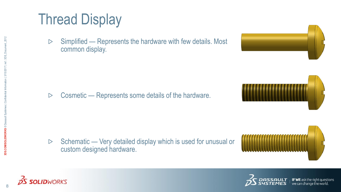# Thread Display

Simplified — Represents the hardware with few details. Most  $\triangleright$ common display.

Cosmetic — Represents some details of the hardware.  $\triangleright$ 

Schematic — Very detailed display which is used for unusual or  $\triangleright$ custom designed hardware.









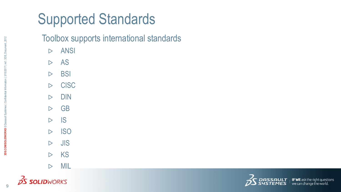# Supported Standards

#### Toolbox supports international standards

- ANSI  $\triangleright$
- $\triangleright$ AS
- BSI  $\triangleright$
- **CISC**  $\triangleright$
- DIN  $\triangleright$
- GB  $\triangleright$
- $\triangleright$ IS
- **ISO**  $\triangleright$
- $D$  JIS
- KS  $\triangleright$
- $\triangleright$ MIL